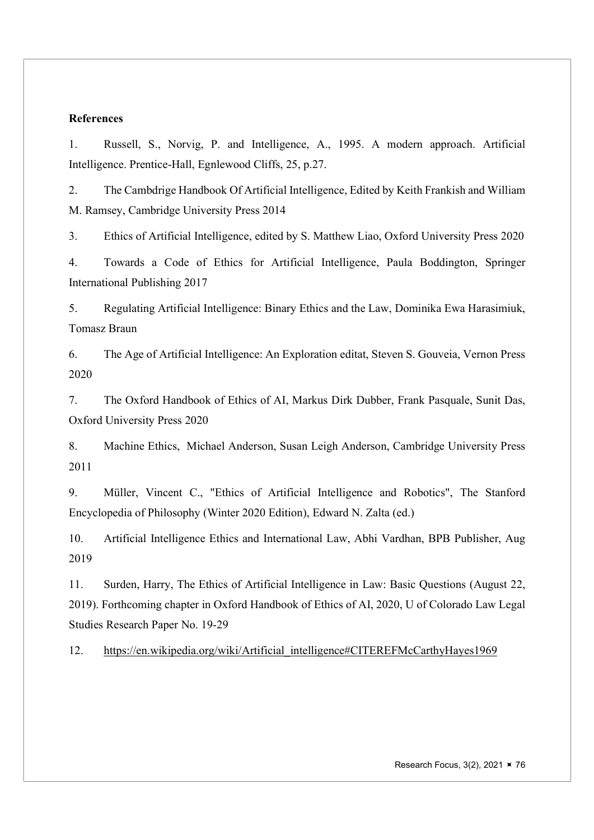# References

1. Russell, S., Norvig, P. and Intelligence, A., 1995. A modern approach. Artificial Intelligence. Prentice-Hall, Egnlewood Cliffs, 25, p.27.

2. The Cambdrige Handbook Of Artificial Intelligence, Edited by Keith Frankish and William M. Ramsey, Cambridge University Press 2014

3. Ethics of Artificial Intelligence, edited by S. Matthew Liao, Oxford University Press 2020

4. Towards a Code of Ethics for Artificial Intelligence, Paula Boddington, Springer International Publishing 2017

5. Regulating Artificial Intelligence: Binary Ethics and the Law, Dominika Ewa Harasimiuk, Tomasz Braun

6. The Age of Artificial Intelligence: An Exploration editat, Steven S. Gouveia, Vernon Press 2020

7. The Oxford Handbook of Ethics of AI, Markus Dirk Dubber, Frank Pasquale, Sunit Das, Oxford University Press 2020

8. Machine Ethics, Michael Anderson, Susan Leigh Anderson, Cambridge University Press 2011

9. Müller, Vincent C., "Ethics of Artificial Intelligence and Robotics", The Stanford Encyclopedia of Philosophy (Winter 2020 Edition), Edward N. Zalta (ed.)

10. Artificial Intelligence Ethics and International Law, Abhi Vardhan, BPB Publisher, Aug 2019

11. Surden, Harry, The Ethics of Artificial Intelligence in Law: Basic Questions (August 22, 2019). Forthcoming chapter in Oxford Handbook of Ethics of AI, 2020, U of Colorado Law Legal Studies Research Paper No. 19-29

12. https://en.wikipedia.org/wiki/Artificial\_intelligence#CITEREFMcCarthyHayes1969

Research Focus,  $3(2)$ ,  $2021 \times 76$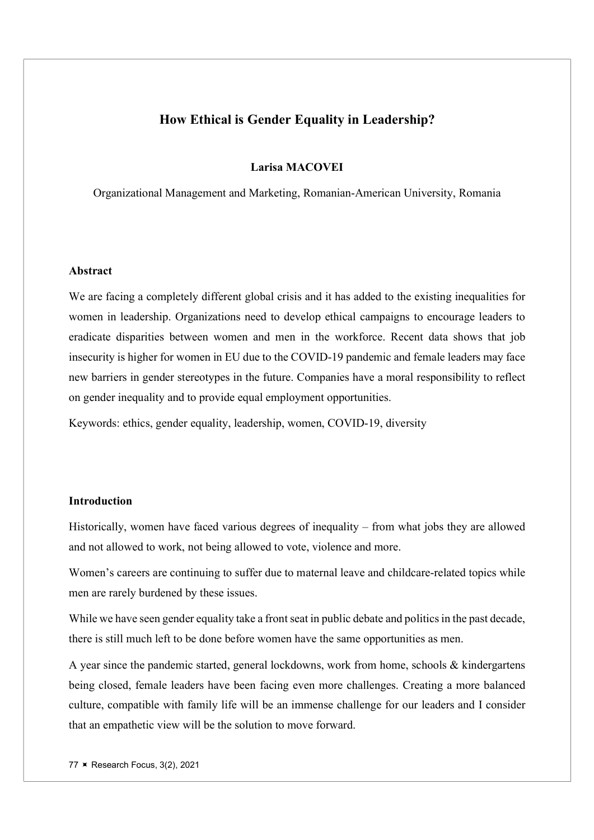# How Ethical is Gender Equality in Leadership?

#### Larisa MACOVEI

Organizational Management and Marketing, Romanian-American University, Romania

#### Abstract

We are facing a completely different global crisis and it has added to the existing inequalities for women in leadership. Organizations need to develop ethical campaigns to encourage leaders to eradicate disparities between women and men in the workforce. Recent data shows that job insecurity is higher for women in EU due to the COVID-19 pandemic and female leaders may face new barriers in gender stereotypes in the future. Companies have a moral responsibility to reflect on gender inequality and to provide equal employment opportunities.

Keywords: ethics, gender equality, leadership, women, COVID-19, diversity

# Introduction

Historically, women have faced various degrees of inequality – from what jobs they are allowed and not allowed to work, not being allowed to vote, violence and more.

Women's careers are continuing to suffer due to maternal leave and childcare-related topics while men are rarely burdened by these issues.

While we have seen gender equality take a front seat in public debate and politics in the past decade, there is still much left to be done before women have the same opportunities as men.

A year since the pandemic started, general lockdowns, work from home, schools & kindergartens being closed, female leaders have been facing even more challenges. Creating a more balanced culture, compatible with family life will be an immense challenge for our leaders and I consider that an empathetic view will be the solution to move forward.

77 **× Research Focus, 3(2), 2021**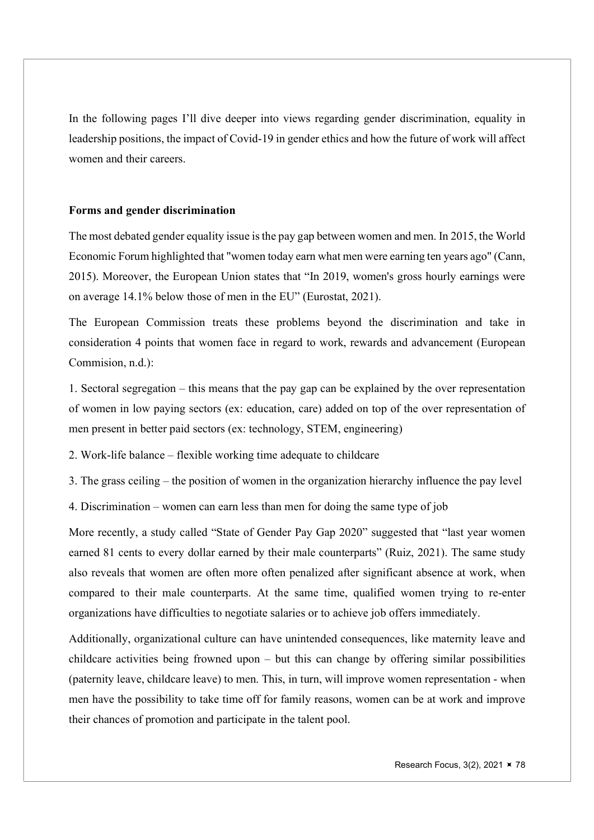In the following pages I'll dive deeper into views regarding gender discrimination, equality in leadership positions, the impact of Covid-19 in gender ethics and how the future of work will affect women and their careers.

## Forms and gender discrimination

The most debated gender equality issue is the pay gap between women and men. In 2015, the World Economic Forum highlighted that "women today earn what men were earning ten years ago" (Cann, 2015). Moreover, the European Union states that "In 2019, women's gross hourly earnings were on average 14.1% below those of men in the EU" (Eurostat, 2021).

The European Commission treats these problems beyond the discrimination and take in consideration 4 points that women face in regard to work, rewards and advancement (European Commision, n.d.):

1. Sectoral segregation – this means that the pay gap can be explained by the over representation of women in low paying sectors (ex: education, care) added on top of the over representation of men present in better paid sectors (ex: technology, STEM, engineering)

2. Work-life balance – flexible working time adequate to childcare

3. The grass ceiling – the position of women in the organization hierarchy influence the pay level

4. Discrimination – women can earn less than men for doing the same type of job

More recently, a study called "State of Gender Pay Gap 2020" suggested that "last year women earned 81 cents to every dollar earned by their male counterparts" (Ruiz, 2021). The same study also reveals that women are often more often penalized after significant absence at work, when compared to their male counterparts. At the same time, qualified women trying to re-enter organizations have difficulties to negotiate salaries or to achieve job offers immediately.

Additionally, organizational culture can have unintended consequences, like maternity leave and childcare activities being frowned upon – but this can change by offering similar possibilities (paternity leave, childcare leave) to men. This, in turn, will improve women representation - when men have the possibility to take time off for family reasons, women can be at work and improve their chances of promotion and participate in the talent pool.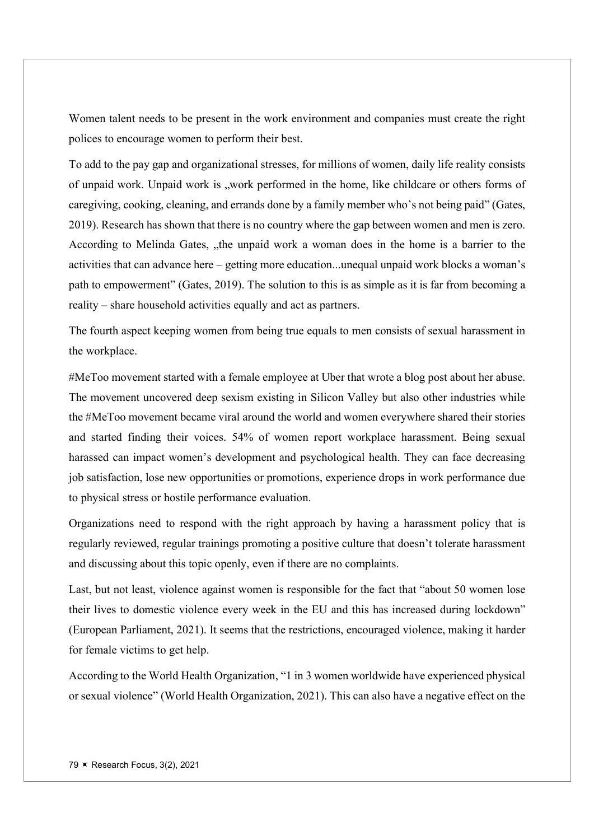Women talent needs to be present in the work environment and companies must create the right polices to encourage women to perform their best.

To add to the pay gap and organizational stresses, for millions of women, daily life reality consists of unpaid work. Unpaid work is "work performed in the home, like childcare or others forms of caregiving, cooking, cleaning, and errands done by a family member who's not being paid" (Gates, 2019). Research has shown that there is no country where the gap between women and men is zero. According to Melinda Gates, "the unpaid work a woman does in the home is a barrier to the activities that can advance here – getting more education...unequal unpaid work blocks a woman's path to empowerment" (Gates, 2019). The solution to this is as simple as it is far from becoming a reality – share household activities equally and act as partners.

The fourth aspect keeping women from being true equals to men consists of sexual harassment in the workplace.

#MeToo movement started with a female employee at Uber that wrote a blog post about her abuse. The movement uncovered deep sexism existing in Silicon Valley but also other industries while the #MeToo movement became viral around the world and women everywhere shared their stories and started finding their voices. 54% of women report workplace harassment. Being sexual harassed can impact women's development and psychological health. They can face decreasing job satisfaction, lose new opportunities or promotions, experience drops in work performance due to physical stress or hostile performance evaluation.

Organizations need to respond with the right approach by having a harassment policy that is regularly reviewed, regular trainings promoting a positive culture that doesn't tolerate harassment and discussing about this topic openly, even if there are no complaints.

Last, but not least, violence against women is responsible for the fact that "about 50 women lose their lives to domestic violence every week in the EU and this has increased during lockdown" (European Parliament, 2021). It seems that the restrictions, encouraged violence, making it harder for female victims to get help.

According to the World Health Organization, "1 in 3 women worldwide have experienced physical or sexual violence" (World Health Organization, 2021). This can also have a negative effect on the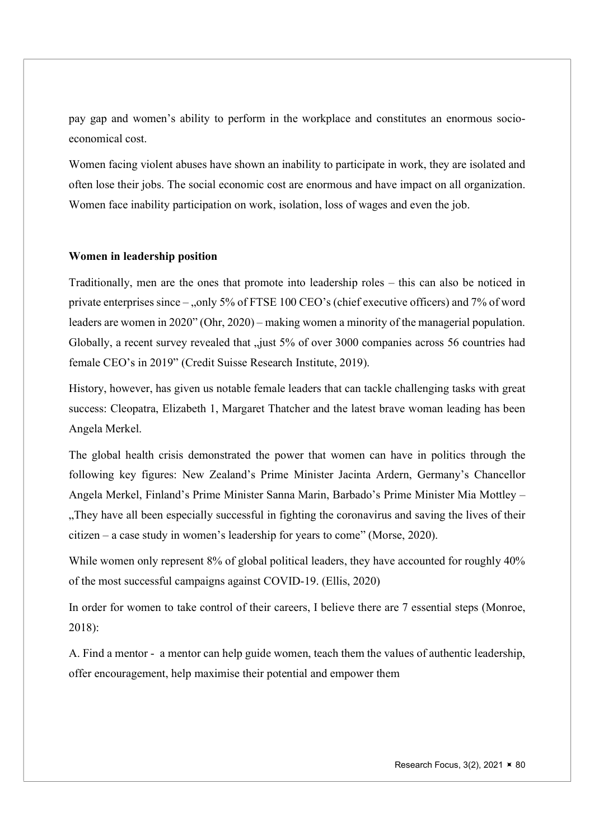pay gap and women's ability to perform in the workplace and constitutes an enormous socioeconomical cost.

Women facing violent abuses have shown an inability to participate in work, they are isolated and often lose their jobs. The social economic cost are enormous and have impact on all organization. Women face inability participation on work, isolation, loss of wages and even the job.

## Women in leadership position

Traditionally, men are the ones that promote into leadership roles – this can also be noticed in private enterprises since – "only 5% of FTSE 100 CEO's (chief executive officers) and 7% of word leaders are women in 2020" (Ohr, 2020) – making women a minority of the managerial population. Globally, a recent survey revealed that "just 5% of over 3000 companies across 56 countries had female CEO's in 2019" (Credit Suisse Research Institute, 2019).

History, however, has given us notable female leaders that can tackle challenging tasks with great success: Cleopatra, Elizabeth 1, Margaret Thatcher and the latest brave woman leading has been Angela Merkel.

The global health crisis demonstrated the power that women can have in politics through the following key figures: New Zealand's Prime Minister Jacinta Ardern, Germany's Chancellor Angela Merkel, Finland's Prime Minister Sanna Marin, Barbado's Prime Minister Mia Mottley – "They have all been especially successful in fighting the coronavirus and saving the lives of their citizen – a case study in women's leadership for years to come" (Morse, 2020).

While women only represent 8% of global political leaders, they have accounted for roughly 40% of the most successful campaigns against COVID-19. (Ellis, 2020)

In order for women to take control of their careers, I believe there are 7 essential steps (Monroe, 2018):

A. Find a mentor - a mentor can help guide women, teach them the values of authentic leadership, offer encouragement, help maximise their potential and empower them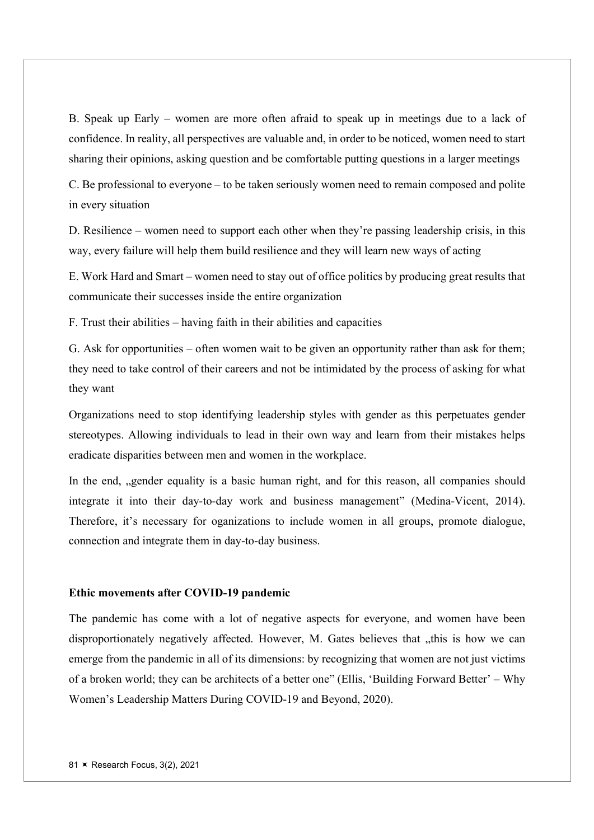B. Speak up Early – women are more often afraid to speak up in meetings due to a lack of confidence. In reality, all perspectives are valuable and, in order to be noticed, women need to start sharing their opinions, asking question and be comfortable putting questions in a larger meetings

C. Be professional to everyone – to be taken seriously women need to remain composed and polite in every situation

D. Resilience – women need to support each other when they're passing leadership crisis, in this way, every failure will help them build resilience and they will learn new ways of acting

E. Work Hard and Smart – women need to stay out of office politics by producing great results that communicate their successes inside the entire organization

F. Trust their abilities – having faith in their abilities and capacities

G. Ask for opportunities – often women wait to be given an opportunity rather than ask for them; they need to take control of their careers and not be intimidated by the process of asking for what they want

Organizations need to stop identifying leadership styles with gender as this perpetuates gender stereotypes. Allowing individuals to lead in their own way and learn from their mistakes helps eradicate disparities between men and women in the workplace.

In the end, "gender equality is a basic human right, and for this reason, all companies should integrate it into their day-to-day work and business management" (Medina-Vicent, 2014). Therefore, it's necessary for oganizations to include women in all groups, promote dialogue, connection and integrate them in day-to-day business.

#### Ethic movements after COVID-19 pandemic

The pandemic has come with a lot of negative aspects for everyone, and women have been disproportionately negatively affected. However, M. Gates believes that ..this is how we can emerge from the pandemic in all of its dimensions: by recognizing that women are not just victims of a broken world; they can be architects of a better one" (Ellis, 'Building Forward Better' – Why Women's Leadership Matters During COVID-19 and Beyond, 2020).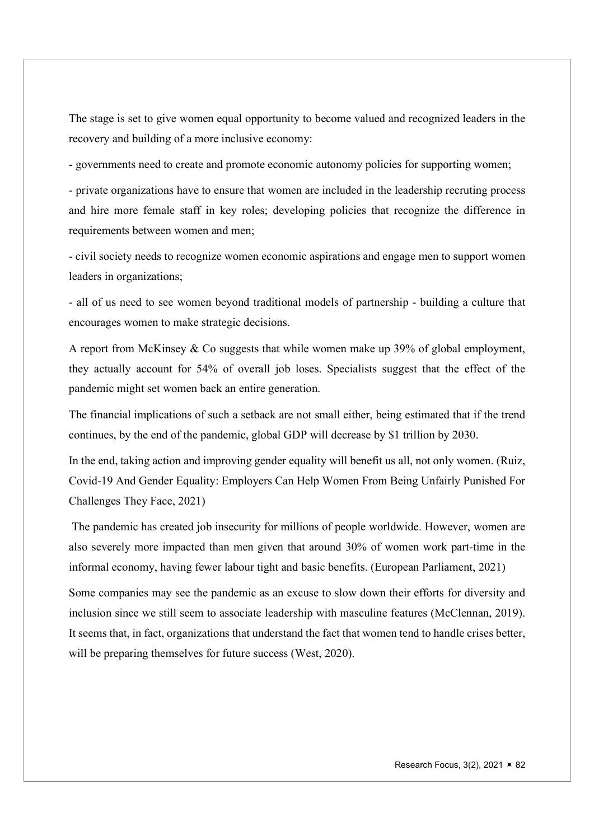The stage is set to give women equal opportunity to become valued and recognized leaders in the recovery and building of a more inclusive economy:

- governments need to create and promote economic autonomy policies for supporting women;

- private organizations have to ensure that women are included in the leadership recruting process and hire more female staff in key roles; developing policies that recognize the difference in requirements between women and men;

- civil society needs to recognize women economic aspirations and engage men to support women leaders in organizations;

- all of us need to see women beyond traditional models of partnership - building a culture that encourages women to make strategic decisions.

A report from McKinsey & Co suggests that while women make up 39% of global employment, they actually account for 54% of overall job loses. Specialists suggest that the effect of the pandemic might set women back an entire generation.

The financial implications of such a setback are not small either, being estimated that if the trend continues, by the end of the pandemic, global GDP will decrease by \$1 trillion by 2030.

In the end, taking action and improving gender equality will benefit us all, not only women. (Ruiz, Covid-19 And Gender Equality: Employers Can Help Women From Being Unfairly Punished For Challenges They Face, 2021)

 The pandemic has created job insecurity for millions of people worldwide. However, women are also severely more impacted than men given that around 30% of women work part-time in the informal economy, having fewer labour tight and basic benefits. (European Parliament, 2021)

Some companies may see the pandemic as an excuse to slow down their efforts for diversity and inclusion since we still seem to associate leadership with masculine features (McClennan, 2019). It seems that, in fact, organizations that understand the fact that women tend to handle crises better, will be preparing themselves for future success (West, 2020).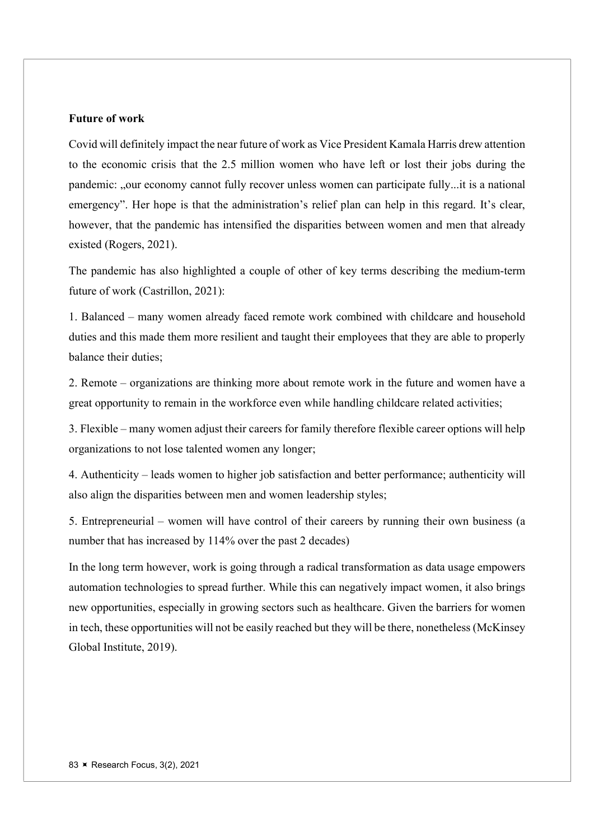#### Future of work

Covid will definitely impact the near future of work as Vice President Kamala Harris drew attention to the economic crisis that the 2.5 million women who have left or lost their jobs during the pandemic: "our economy cannot fully recover unless women can participate fully...it is a national emergency". Her hope is that the administration's relief plan can help in this regard. It's clear, however, that the pandemic has intensified the disparities between women and men that already existed (Rogers, 2021).

The pandemic has also highlighted a couple of other of key terms describing the medium-term future of work (Castrillon, 2021):

1. Balanced – many women already faced remote work combined with childcare and household duties and this made them more resilient and taught their employees that they are able to properly balance their duties;

2. Remote – organizations are thinking more about remote work in the future and women have a great opportunity to remain in the workforce even while handling childcare related activities;

3. Flexible – many women adjust their careers for family therefore flexible career options will help organizations to not lose talented women any longer;

4. Authenticity – leads women to higher job satisfaction and better performance; authenticity will also align the disparities between men and women leadership styles;

5. Entrepreneurial – women will have control of their careers by running their own business (a number that has increased by 114% over the past 2 decades)

In the long term however, work is going through a radical transformation as data usage empowers automation technologies to spread further. While this can negatively impact women, it also brings new opportunities, especially in growing sectors such as healthcare. Given the barriers for women in tech, these opportunities will not be easily reached but they will be there, nonetheless (McKinsey Global Institute, 2019).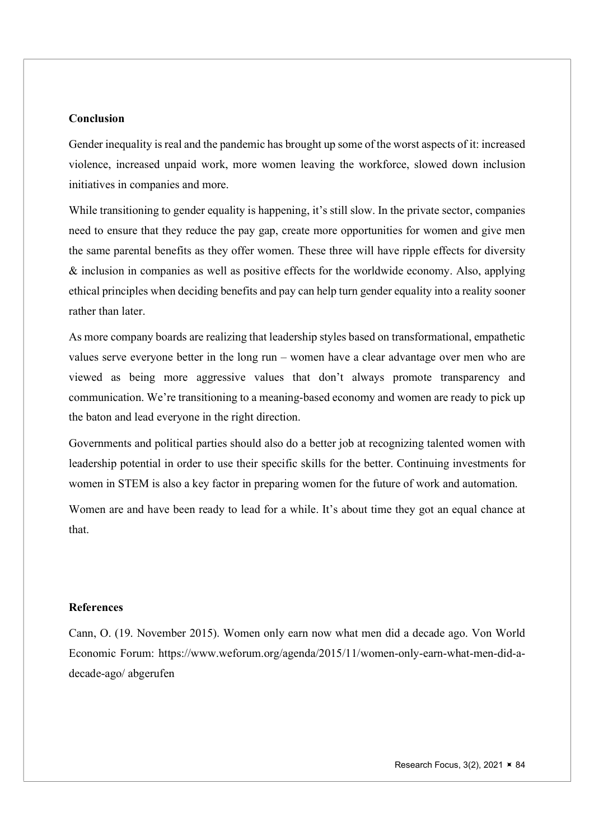## Conclusion

Gender inequality is real and the pandemic has brought up some of the worst aspects of it: increased violence, increased unpaid work, more women leaving the workforce, slowed down inclusion initiatives in companies and more.

While transitioning to gender equality is happening, it's still slow. In the private sector, companies need to ensure that they reduce the pay gap, create more opportunities for women and give men the same parental benefits as they offer women. These three will have ripple effects for diversity & inclusion in companies as well as positive effects for the worldwide economy. Also, applying ethical principles when deciding benefits and pay can help turn gender equality into a reality sooner rather than later.

As more company boards are realizing that leadership styles based on transformational, empathetic values serve everyone better in the long run – women have a clear advantage over men who are viewed as being more aggressive values that don't always promote transparency and communication. We're transitioning to a meaning-based economy and women are ready to pick up the baton and lead everyone in the right direction.

Governments and political parties should also do a better job at recognizing talented women with leadership potential in order to use their specific skills for the better. Continuing investments for women in STEM is also a key factor in preparing women for the future of work and automation.

Women are and have been ready to lead for a while. It's about time they got an equal chance at that.

#### **References**

Cann, O. (19. November 2015). Women only earn now what men did a decade ago. Von World Economic Forum: https://www.weforum.org/agenda/2015/11/women-only-earn-what-men-did-adecade-ago/ abgerufen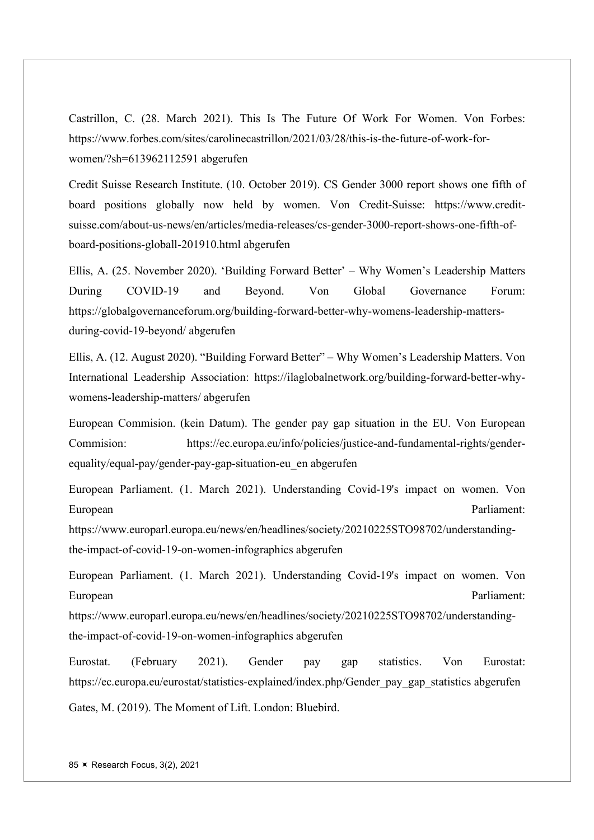Castrillon, C. (28. March 2021). This Is The Future Of Work For Women. Von Forbes: https://www.forbes.com/sites/carolinecastrillon/2021/03/28/this-is-the-future-of-work-forwomen/?sh=613962112591 abgerufen

Credit Suisse Research Institute. (10. October 2019). CS Gender 3000 report shows one fifth of board positions globally now held by women. Von Credit-Suisse: https://www.creditsuisse.com/about-us-news/en/articles/media-releases/cs-gender-3000-report-shows-one-fifth-ofboard-positions-globall-201910.html abgerufen

Ellis, A. (25. November 2020). 'Building Forward Better' – Why Women's Leadership Matters During COVID-19 and Beyond. Von Global Governance Forum: https://globalgovernanceforum.org/building-forward-better-why-womens-leadership-mattersduring-covid-19-beyond/ abgerufen

Ellis, A. (12. August 2020). "Building Forward Better" – Why Women's Leadership Matters. Von International Leadership Association: https://ilaglobalnetwork.org/building-forward-better-whywomens-leadership-matters/ abgerufen

European Commision. (kein Datum). The gender pay gap situation in the EU. Von European Commision: https://ec.europa.eu/info/policies/justice-and-fundamental-rights/genderequality/equal-pay/gender-pay-gap-situation-eu\_en abgerufen

European Parliament. (1. March 2021). Understanding Covid-19's impact on women. Von European Parliament:

https://www.europarl.europa.eu/news/en/headlines/society/20210225STO98702/understandingthe-impact-of-covid-19-on-women-infographics abgerufen

European Parliament. (1. March 2021). Understanding Covid-19's impact on women. Von European Parliament:

https://www.europarl.europa.eu/news/en/headlines/society/20210225STO98702/understandingthe-impact-of-covid-19-on-women-infographics abgerufen

Eurostat. (February 2021). Gender pay gap statistics. Von Eurostat: https://ec.europa.eu/eurostat/statistics-explained/index.php/Gender pay gap statistics abgerufen Gates, M. (2019). The Moment of Lift. London: Bluebird.